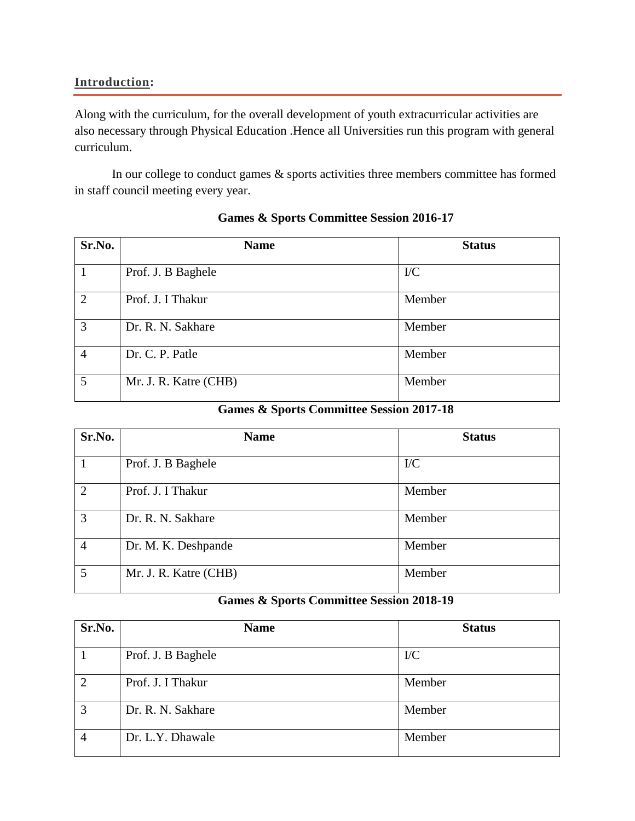#### **Introduction:**

Along with the curriculum, for the overall development of youth extracurricular activities are also necessary through Physical Education .Hence all Universities run this program with general curriculum.

In our college to conduct games & sports activities three members committee has formed in staff council meeting every year.

| Sr.No.         | <b>Name</b>           | <b>Status</b> |
|----------------|-----------------------|---------------|
|                | Prof. J. B Baghele    | $\rm{IC}$     |
| $\overline{2}$ | Prof. J. I Thakur     | Member        |
| 3              | Dr. R. N. Sakhare     | Member        |
| $\overline{4}$ | Dr. C. P. Patle       | Member        |
| 5              | Mr. J. R. Katre (CHB) | Member        |

#### **Games & Sports Committee Session 2016-17**

### **Games & Sports Committee Session 2017-18**

| Sr.No.         | <b>Name</b>           | <b>Status</b> |
|----------------|-----------------------|---------------|
|                | Prof. J. B Baghele    | $\rm{IC}$     |
| $\overline{2}$ | Prof. J. I Thakur     | Member        |
| 3              | Dr. R. N. Sakhare     | Member        |
| $\overline{4}$ | Dr. M. K. Deshpande   | Member        |
| 5              | Mr. J. R. Katre (CHB) | Member        |

### **Games & Sports Committee Session 2018-19**

| Sr.No.         | <b>Name</b>        | <b>Status</b> |
|----------------|--------------------|---------------|
|                | Prof. J. B Baghele | $\rm{IC}$     |
| $\overline{2}$ | Prof. J. I Thakur  | Member        |
| 3              | Dr. R. N. Sakhare  | Member        |
| $\overline{4}$ | Dr. L.Y. Dhawale   | Member        |